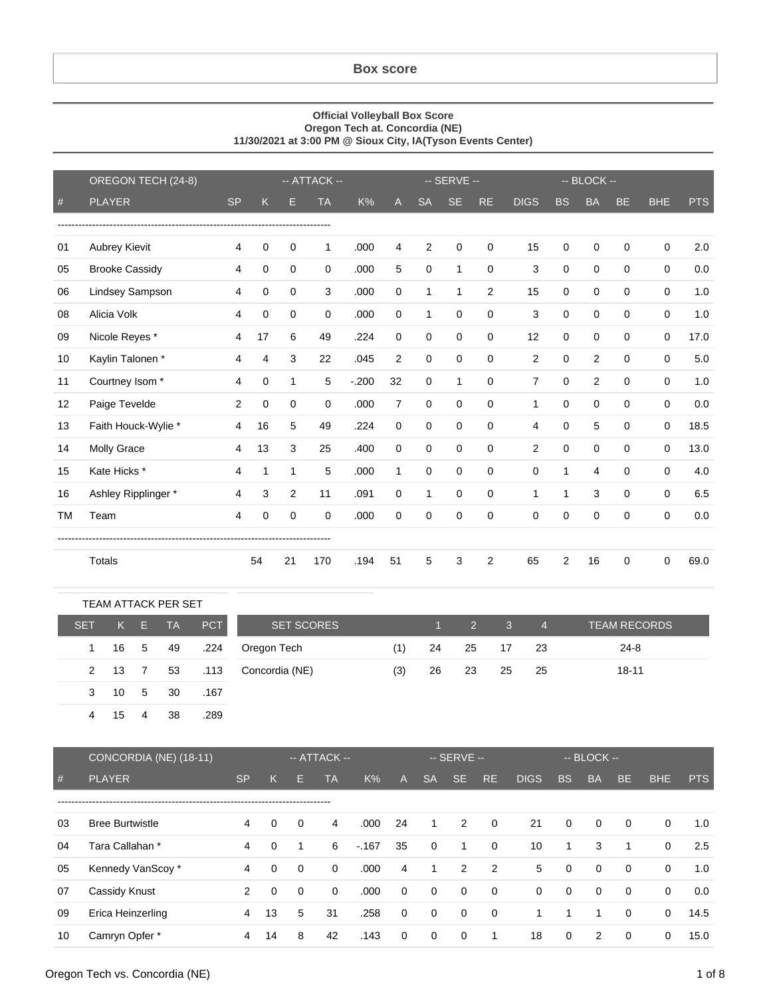## **Box score**

## **Official Volleyball Box Score Oregon Tech at. Concordia (NE) 11/30/2021 at 3:00 PM @ Sioux City, IA(Tyson Events Center)**

|           | OREGON TECH (24-8)    | -- ATTACK --   |             |             |             |        | -- SERVE --    |                |              |           | $-$ BLOCK $-$  |              |             |           |             |            |
|-----------|-----------------------|----------------|-------------|-------------|-------------|--------|----------------|----------------|--------------|-----------|----------------|--------------|-------------|-----------|-------------|------------|
| $\#$      | <b>PLAYER</b>         | <b>SP</b>      | K           | Е           | <b>TA</b>   | K%     | A              | <b>SA</b>      | <b>SE</b>    | <b>RE</b> | <b>DIGS</b>    | <b>BS</b>    | <b>BA</b>   | <b>BE</b> | <b>BHE</b>  | <b>PTS</b> |
|           |                       |                |             |             |             |        |                |                |              |           |                |              |             |           |             |            |
| 01        | <b>Aubrey Kievit</b>  | 4              | 0           | 0           | 1           | .000   | 4              | $\overline{2}$ | 0            | 0         | 15             | 0            | $\mathbf 0$ | 0         | $\mathbf 0$ | 2.0        |
| 05        | <b>Brooke Cassidy</b> | 4              | 0           | 0           | $\Omega$    | .000   | 5              | $\mathbf 0$    | $\mathbf{1}$ | $\Omega$  | 3              | $\mathbf 0$  | $\mathbf 0$ | $\Omega$  | $\mathbf 0$ | 0.0        |
| 06        | Lindsey Sampson       | 4              | 0           | $\Omega$    | 3           | .000   | $\Omega$       | 1              | $\mathbf{1}$ | 2         | 15             | 0            | 0           | 0         | $\mathbf 0$ | 1.0        |
| 08        | Alicia Volk           | 4              | 0           | 0           | $\Omega$    | .000   | $\Omega$       | 1              | 0            | 0         | 3              | 0            | 0           | 0         | $\mathbf 0$ | 1.0        |
| 09        | Nicole Reyes *        | 4              | 17          | 6           | 49          | .224   | 0              | $\mathbf 0$    | 0            | 0         | 12             | $\Omega$     | $\mathbf 0$ | 0         | $\mathbf 0$ | 17.0       |
| 10        | Kaylin Talonen*       | 4              | 4           | 3           | 22          | .045   | 2              | $\mathbf 0$    | $\Omega$     | 0         | 2              | $\Omega$     | 2           | 0         | $\mathbf 0$ | 5.0        |
| 11        | Courtney Isom *       | 4              | 0           | 1           | 5           | $-200$ | 32             | 0              | $\mathbf{1}$ | 0         | $\overline{7}$ | $\mathbf 0$  | 2           | 0         | $\mathbf 0$ | 1.0        |
| 12        | Paige Tevelde         | 2              | 0           | $\Omega$    | $\mathbf 0$ | .000   | $\overline{7}$ | $\mathbf 0$    | 0            | 0         | $\mathbf{1}$   | 0            | $\mathbf 0$ | $\Omega$  | $\mathbf 0$ | 0.0        |
| 13        | Faith Houck-Wylie *   | 4              | 16          | 5           | 49          | .224   | $\Omega$       | 0              | $\mathbf 0$  | 0         | 4              | $\Omega$     | 5           | $\Omega$  | $\mathbf 0$ | 18.5       |
| 14        | <b>Molly Grace</b>    | 4              | 13          | 3           | 25          | .400   | $\Omega$       | $\mathbf 0$    | $\mathbf 0$  | 0         | 2              | $\Omega$     | $\mathbf 0$ | $\Omega$  | $\mathbf 0$ | 13.0       |
| 15        | Kate Hicks *          | 4              | 1           | $\mathbf 1$ | 5           | .000   | 1              | $\mathbf 0$    | 0            | 0         | $\Omega$       | $\mathbf{1}$ | 4           | 0         | $\mathbf 0$ | 4.0        |
| 16        | Ashley Ripplinger *   | 4              | 3           | 2           | 11          | .091   | $\mathbf 0$    | 1              | 0            | 0         | $\mathbf{1}$   | $\mathbf{1}$ | 3           | $\Omega$  | $\mathbf 0$ | 6.5        |
| <b>TM</b> | Team                  | $\overline{4}$ | $\mathbf 0$ | $\Omega$    | $\Omega$    | .000   | $\Omega$       | 0              | 0            | 0         | $\Omega$       | 0            | $\Omega$    | $\Omega$  | $\Omega$    | 0.0        |
|           |                       |                |             |             |             |        |                |                |              |           |                |              |             |           |             |            |
|           | <b>Totals</b>         |                | 54          | 21          | 170         | .194   | 51             | 5              | 3            | 2         | 65             | 2            | 16          | 0         | 0           | 69.0       |

|            |      |                | <b>TEAM ATTACK PER SET</b> |            |                   |     |       |                 |                |                |                     |
|------------|------|----------------|----------------------------|------------|-------------------|-----|-------|-----------------|----------------|----------------|---------------------|
| <b>SET</b> | K .  | Æ              | <b>TA</b>                  | <b>PCT</b> | <b>SET SCORES</b> |     | - 1 - | $\sim$ 2 $\sim$ | 3 <sup>2</sup> | $\overline{4}$ | <b>TEAM RECORDS</b> |
| 1.         | 16 5 |                | 49                         | .224       | Oregon Tech       | (1) | 24    | 25              | 17             | -23            | $24 - 8$            |
| 2          | - 13 | $\overline{7}$ | 53                         | .113       | Concordia (NE)    | (3) | 26    | 23              | 25             | 25             | $18 - 11$           |
| 3          | 10   | -5             | 30                         | .167       |                   |     |       |                 |                |                |                     |
| 4          | 15   | 4              | 38                         | .289       |                   |     |       |                 |                |                |                     |

|    | CONCORDIA (NE) (18-11) | $-$ ATTACK $-$ |          |             |           | $-$ SERVE $-$ |             |             |              |                | $-$ BLOCK $-$ |             |                |             |             |            |
|----|------------------------|----------------|----------|-------------|-----------|---------------|-------------|-------------|--------------|----------------|---------------|-------------|----------------|-------------|-------------|------------|
| #  | <b>PLAYER</b>          | <b>SP</b>      | K.       | н           | <b>TA</b> | K%            | A           | <b>SA</b>   | SE.          | <b>RE</b>      | <b>DIGS</b>   | <b>BS</b>   | <b>BA</b>      | BE.         | <b>BHE</b>  | <b>PTS</b> |
|    |                        |                |          |             |           |               |             |             |              |                |               |             |                |             |             |            |
| 03 | <b>Bree Burtwistle</b> | 4              | 0        | $\Omega$    | 4         | .000          | 24          | 1           | 2            | $\overline{0}$ | 21            | 0           | $\mathbf{0}$   | $\mathbf 0$ | 0           | 1.0        |
| 04 | Tara Callahan *        | 4              | 0        | 1           | 6         | $-167$        | 35          | $\mathbf 0$ | $\mathbf{1}$ | $\overline{0}$ | 10            | 1           | 3              | 1           | $\mathbf 0$ | 2.5        |
| 05 | Kennedy VanScoy*       | 4              | $\Omega$ | $\mathbf 0$ | $\Omega$  | .000          | 4           | 1           | 2            | $\overline{2}$ | 5             | 0           | $\mathbf{0}$   | $\mathbf 0$ | 0           | 1.0        |
| 07 | Cassidy Knust          | 2              | $\Omega$ | $\Omega$    | $\Omega$  | .000          | $\mathbf 0$ | 0           | 0            | $\overline{0}$ | $\Omega$      | $\mathbf 0$ | $\mathbf{0}$   | 0           | $\mathbf 0$ | 0.0        |
| 09 | Erica Heinzerling      | 4              | 13       | 5           | 31        | .258          | $\Omega$    | 0           | $\mathbf 0$  | $\overline{0}$ | 1             |             | 1              | 0           | 0           | 14.5       |
| 10 | Camryn Opfer *         | 4              | 14       | 8           | 42        | .143          | $\mathbf 0$ | 0           | 0            | 1              | 18            | 0           | $\overline{2}$ | 0           | 0           | 15.0       |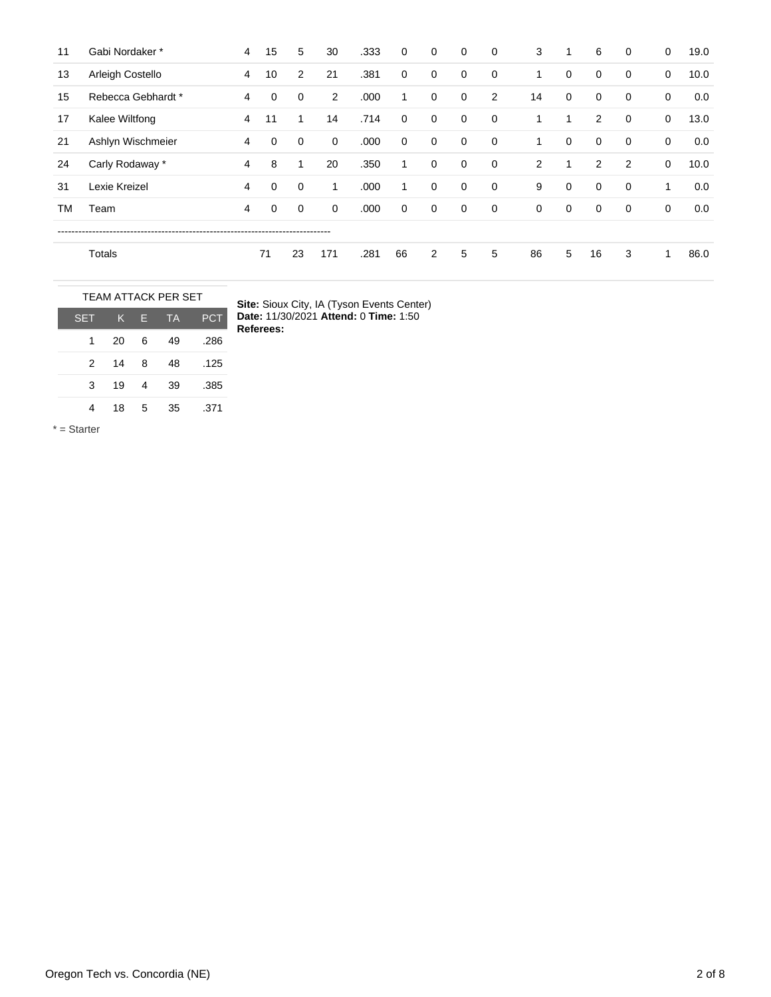| 11 | Gabi Nordaker *    | 4              | 15 | 5           | 30             | .333 | $\mathbf 0$  | $\mathbf 0$    | $\mathbf 0$ | $\mathbf 0$    | 3              | 1           | 6           | 0 | 0           | 19.0 |
|----|--------------------|----------------|----|-------------|----------------|------|--------------|----------------|-------------|----------------|----------------|-------------|-------------|---|-------------|------|
| 13 | Arleigh Costello   | $\overline{4}$ | 10 | 2           | 21             | .381 | $\mathbf 0$  | 0              | 0           | $\mathbf 0$    | 1              | 0           | $\mathbf 0$ | 0 | 0           | 10.0 |
| 15 | Rebecca Gebhardt * | 4              | 0  | 0           | $\overline{2}$ | .000 | $\mathbf{1}$ | 0              | 0           | 2              | 14             | 0           | $\mathbf 0$ | 0 | 0           | 0.0  |
| 17 | Kalee Wiltfong     | 4              | 11 | 1           | 14             | .714 | 0            | 0              | 0           | $\mathbf 0$    | 1              | 1           | 2           | 0 | 0           | 13.0 |
| 21 | Ashlyn Wischmeier  | 4              | 0  | 0           | $\mathbf 0$    | .000 | $\mathbf 0$  | 0              | $\mathbf 0$ | $\overline{0}$ | 1              | 0           | $\mathbf 0$ | 0 | $\mathbf 0$ | 0.0  |
| 24 | Carly Rodaway *    | 4              | 8  | 1           | 20             | .350 | 1            | 0              | 0           | $\mathbf 0$    | $\overline{2}$ | 1           | 2           | 2 | 0           | 10.0 |
| 31 | Lexie Kreizel      | 4              | 0  | 0           | 1              | .000 | 1            | 0              | 0           | $\mathbf 0$    | 9              | 0           | $\mathbf 0$ | 0 | 1           | 0.0  |
| ТM | Team               | 4              | 0  | $\mathbf 0$ | 0              | .000 | $\mathbf 0$  | $\mathbf 0$    | $\mathbf 0$ | $\mathbf 0$    | $\mathbf 0$    | $\mathbf 0$ | $\mathbf 0$ | 0 | $\mathbf 0$ | 0.0  |
|    |                    |                |    |             |                |      |              |                |             |                |                |             |             |   |             |      |
|    | Totals             |                | 71 | 23          | 171            | .281 | 66           | $\overline{2}$ | 5           | 5              | 86             | 5           | 16          | 3 | 1           | 86.0 |

| <b>TEAM ATTACK PER SET</b> |    |   |           |            |  |  |  |  |  |  |
|----------------------------|----|---|-----------|------------|--|--|--|--|--|--|
| <b>SET</b>                 | LK | F | <b>TA</b> | <b>PCT</b> |  |  |  |  |  |  |
| 1                          | 20 | 6 | 49        | .286       |  |  |  |  |  |  |
| $\mathcal{P}$              | 14 | 8 | 48        | .125       |  |  |  |  |  |  |
| 3                          | 19 | 4 | 39        | .385       |  |  |  |  |  |  |
|                            | 18 | 5 | 35        | .371       |  |  |  |  |  |  |

**Site:** Sioux City, IA (Tyson Events Center) **Date:** 11/30/2021 **Attend:** 0 **Time:** 1:50 **Referees:**

\* = Starter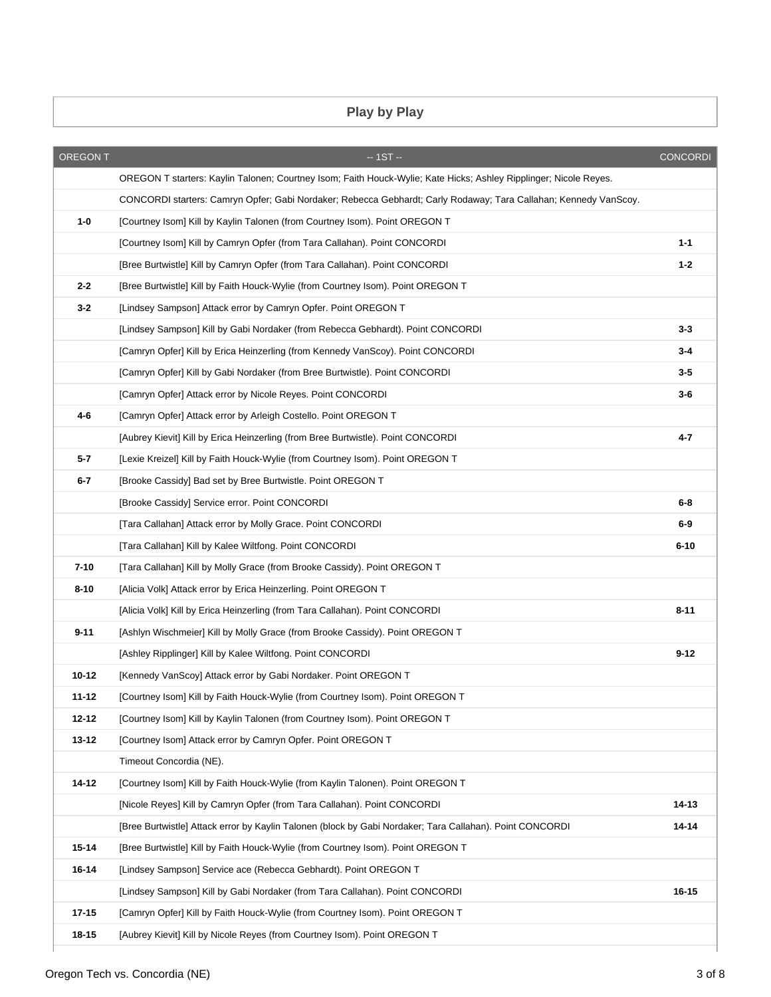## **Play by Play**

| <b>OREGON T</b> | $-1ST -$                                                                                                          | <b>CONCORDI</b> |
|-----------------|-------------------------------------------------------------------------------------------------------------------|-----------------|
|                 | OREGON T starters: Kaylin Talonen; Courtney Isom; Faith Houck-Wylie; Kate Hicks; Ashley Ripplinger; Nicole Reyes. |                 |
|                 | CONCORDI starters: Camryn Opfer; Gabi Nordaker; Rebecca Gebhardt; Carly Rodaway; Tara Callahan; Kennedy VanScoy.  |                 |
| $1-0$           | [Courtney Isom] Kill by Kaylin Talonen (from Courtney Isom). Point OREGON T                                       |                 |
|                 | [Courtney Isom] Kill by Camryn Opfer (from Tara Callahan). Point CONCORDI                                         | $1 - 1$         |
|                 | [Bree Burtwistle] Kill by Camryn Opfer (from Tara Callahan). Point CONCORDI                                       | $1 - 2$         |
| $2 - 2$         | [Bree Burtwistle] Kill by Faith Houck-Wylie (from Courtney Isom). Point OREGON T                                  |                 |
| $3 - 2$         | [Lindsey Sampson] Attack error by Camryn Opfer. Point OREGON T                                                    |                 |
|                 | [Lindsey Sampson] Kill by Gabi Nordaker (from Rebecca Gebhardt). Point CONCORDI                                   | $3 - 3$         |
|                 | [Camryn Opfer] Kill by Erica Heinzerling (from Kennedy VanScoy). Point CONCORDI                                   | $3 - 4$         |
|                 | [Camryn Opfer] Kill by Gabi Nordaker (from Bree Burtwistle). Point CONCORDI                                       | $3-5$           |
|                 | [Camryn Opfer] Attack error by Nicole Reyes. Point CONCORDI                                                       | $3-6$           |
| 4-6             | [Camryn Opfer] Attack error by Arleigh Costello. Point OREGON T                                                   |                 |
|                 | [Aubrey Kievit] Kill by Erica Heinzerling (from Bree Burtwistle). Point CONCORDI                                  | 4-7             |
| 5-7             | [Lexie Kreizel] Kill by Faith Houck-Wylie (from Courtney Isom). Point OREGON T                                    |                 |
| $6 - 7$         | [Brooke Cassidy] Bad set by Bree Burtwistle. Point OREGON T                                                       |                 |
|                 | [Brooke Cassidy] Service error. Point CONCORDI                                                                    | $6-8$           |
|                 | [Tara Callahan] Attack error by Molly Grace. Point CONCORDI                                                       | $6-9$           |
|                 | [Tara Callahan] Kill by Kalee Wiltfong. Point CONCORDI                                                            | $6 - 10$        |
| $7 - 10$        | [Tara Callahan] Kill by Molly Grace (from Brooke Cassidy). Point OREGON T                                         |                 |
| $8 - 10$        | [Alicia Volk] Attack error by Erica Heinzerling. Point OREGON T                                                   |                 |
|                 | [Alicia Volk] Kill by Erica Heinzerling (from Tara Callahan). Point CONCORDI                                      | $8 - 11$        |
| $9 - 11$        | [Ashlyn Wischmeier] Kill by Molly Grace (from Brooke Cassidy). Point OREGON T                                     |                 |
|                 | [Ashley Ripplinger] Kill by Kalee Wiltfong. Point CONCORDI                                                        | $9 - 12$        |
| 10-12           | [Kennedy VanScoy] Attack error by Gabi Nordaker. Point OREGON T                                                   |                 |
| 11-12           | [Courtney Isom] Kill by Faith Houck-Wylie (from Courtney Isom). Point OREGON T                                    |                 |
| 12-12           | [Courtney Isom] Kill by Kaylin Talonen (from Courtney Isom). Point OREGON T                                       |                 |
| $13 - 12$       | [Courtney Isom] Attack error by Camryn Opfer. Point OREGON T                                                      |                 |
|                 | Timeout Concordia (NE).                                                                                           |                 |
| 14-12           | [Courtney Isom] Kill by Faith Houck-Wylie (from Kaylin Talonen). Point OREGON T                                   |                 |
|                 | [Nicole Reyes] Kill by Camryn Opfer (from Tara Callahan). Point CONCORDI                                          | 14-13           |
|                 | [Bree Burtwistle] Attack error by Kaylin Talonen (block by Gabi Nordaker; Tara Callahan). Point CONCORDI          | 14-14           |
| $15 - 14$       | [Bree Burtwistle] Kill by Faith Houck-Wylie (from Courtney Isom). Point OREGON T                                  |                 |
| 16-14           | [Lindsey Sampson] Service ace (Rebecca Gebhardt). Point OREGON T                                                  |                 |
|                 | [Lindsey Sampson] Kill by Gabi Nordaker (from Tara Callahan). Point CONCORDI                                      | 16-15           |
| 17-15           | [Camryn Opfer] Kill by Faith Houck-Wylie (from Courtney Isom). Point OREGON T                                     |                 |
| 18-15           | [Aubrey Kievit] Kill by Nicole Reyes (from Courtney Isom). Point OREGON T                                         |                 |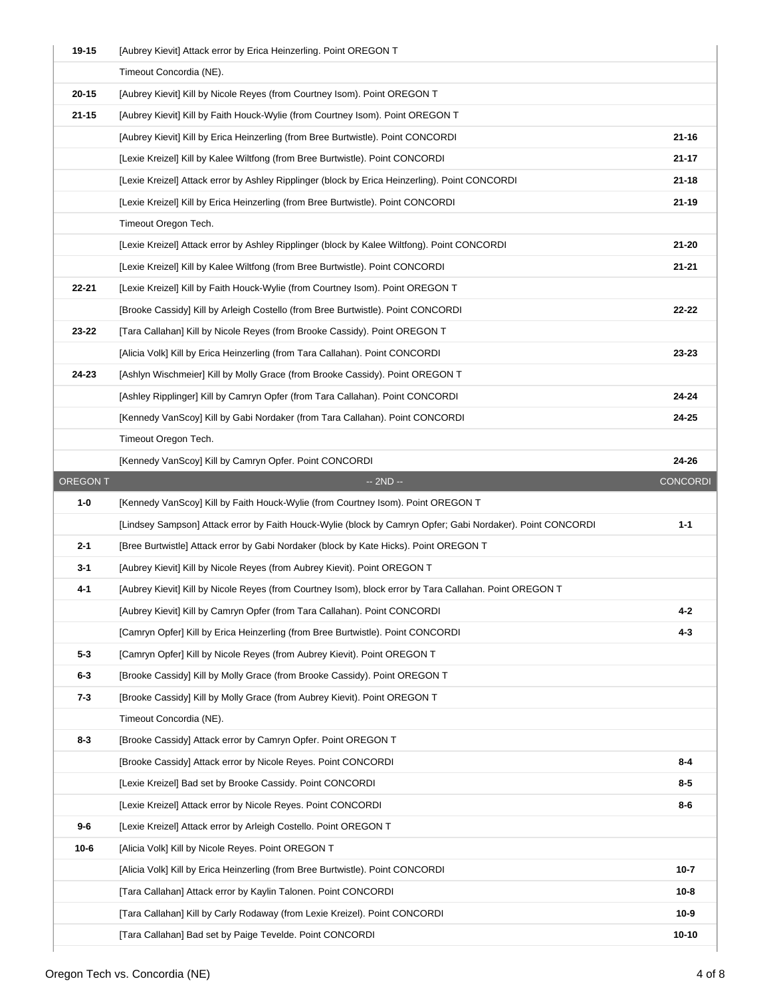| 19-15           | [Aubrey Kievit] Attack error by Erica Heinzerling. Point OREGON T                                                                      |                       |
|-----------------|----------------------------------------------------------------------------------------------------------------------------------------|-----------------------|
|                 | Timeout Concordia (NE).                                                                                                                |                       |
| $20 - 15$       | [Aubrey Kievit] Kill by Nicole Reyes (from Courtney Isom). Point OREGON T                                                              |                       |
| $21 - 15$       | [Aubrey Kievit] Kill by Faith Houck-Wylie (from Courtney Isom). Point OREGON T                                                         |                       |
|                 | [Aubrey Kievit] Kill by Erica Heinzerling (from Bree Burtwistle). Point CONCORDI                                                       | $21 - 16$             |
|                 | [Lexie Kreizel] Kill by Kalee Wiltfong (from Bree Burtwistle). Point CONCORDI                                                          | 21-17                 |
|                 | [Lexie Kreizel] Attack error by Ashley Ripplinger (block by Erica Heinzerling). Point CONCORDI                                         | $21 - 18$             |
|                 | [Lexie Kreizel] Kill by Erica Heinzerling (from Bree Burtwistle). Point CONCORDI                                                       | 21-19                 |
|                 | Timeout Oregon Tech.                                                                                                                   |                       |
|                 | [Lexie Kreizel] Attack error by Ashley Ripplinger (block by Kalee Wiltfong). Point CONCORDI                                            | $21 - 20$             |
|                 | [Lexie Kreizel] Kill by Kalee Wiltfong (from Bree Burtwistle). Point CONCORDI                                                          | $21 - 21$             |
| $22 - 21$       | [Lexie Kreizel] Kill by Faith Houck-Wylie (from Courtney Isom). Point OREGON T                                                         |                       |
|                 | [Brooke Cassidy] Kill by Arleigh Costello (from Bree Burtwistle). Point CONCORDI                                                       | 22-22                 |
| 23-22           | [Tara Callahan] Kill by Nicole Reyes (from Brooke Cassidy). Point OREGON T                                                             |                       |
|                 | [Alicia Volk] Kill by Erica Heinzerling (from Tara Callahan). Point CONCORDI                                                           | 23-23                 |
| 24-23           | [Ashlyn Wischmeier] Kill by Molly Grace (from Brooke Cassidy). Point OREGON T                                                          |                       |
|                 | [Ashley Ripplinger] Kill by Camryn Opfer (from Tara Callahan). Point CONCORDI                                                          | 24-24                 |
|                 | [Kennedy VanScoy] Kill by Gabi Nordaker (from Tara Callahan). Point CONCORDI                                                           | 24-25                 |
|                 | Timeout Oregon Tech.                                                                                                                   |                       |
|                 | [Kennedy VanScoy] Kill by Camryn Opfer. Point CONCORDI                                                                                 | 24-26                 |
| <b>OREGON T</b> | $-2ND -$                                                                                                                               | <b>CONCORDI</b>       |
|                 |                                                                                                                                        |                       |
| $1-0$           | [Kennedy VanScoy] Kill by Faith Houck-Wylie (from Courtney Isom). Point OREGON T                                                       |                       |
|                 | [Lindsey Sampson] Attack error by Faith Houck-Wylie (block by Camryn Opfer; Gabi Nordaker). Point CONCORDI                             | $1 - 1$               |
| $2 - 1$         | [Bree Burtwistle] Attack error by Gabi Nordaker (block by Kate Hicks). Point OREGON T                                                  |                       |
| $3-1$           | [Aubrey Kievit] Kill by Nicole Reyes (from Aubrey Kievit). Point OREGON T                                                              |                       |
| 4-1             | [Aubrey Kievit] Kill by Nicole Reyes (from Courtney Isom), block error by Tara Callahan. Point OREGON T                                |                       |
|                 | [Aubrey Kievit] Kill by Camryn Opfer (from Tara Callahan). Point CONCORDI                                                              | 4-2                   |
|                 | [Camryn Opfer] Kill by Erica Heinzerling (from Bree Burtwistle). Point CONCORDI                                                        | $4 - 3$               |
| $5 - 3$         | [Camryn Opfer] Kill by Nicole Reyes (from Aubrey Kievit). Point OREGON T                                                               |                       |
| 6-3             | [Brooke Cassidy] Kill by Molly Grace (from Brooke Cassidy). Point OREGON T                                                             |                       |
| $7 - 3$         | [Brooke Cassidy] Kill by Molly Grace (from Aubrey Kievit). Point OREGON T                                                              |                       |
|                 | Timeout Concordia (NE).                                                                                                                |                       |
| $8 - 3$         | [Brooke Cassidy] Attack error by Camryn Opfer. Point OREGON T                                                                          |                       |
|                 | [Brooke Cassidy] Attack error by Nicole Reyes. Point CONCORDI                                                                          | $8 - 4$               |
|                 | [Lexie Kreizel] Bad set by Brooke Cassidy. Point CONCORDI                                                                              | $8-5$                 |
|                 | [Lexie Kreizel] Attack error by Nicole Reyes. Point CONCORDI                                                                           | $8-6$                 |
| $9-6$           | [Lexie Kreizel] Attack error by Arleigh Costello. Point OREGON T                                                                       |                       |
| $10-6$          | [Alicia Volk] Kill by Nicole Reyes. Point OREGON T                                                                                     |                       |
|                 | [Alicia Volk] Kill by Erica Heinzerling (from Bree Burtwistle). Point CONCORDI                                                         | $10 - 7$              |
|                 | [Tara Callahan] Attack error by Kaylin Talonen. Point CONCORDI                                                                         | $10 - 8$              |
|                 | [Tara Callahan] Kill by Carly Rodaway (from Lexie Kreizel). Point CONCORDI<br>[Tara Callahan] Bad set by Paige Tevelde. Point CONCORDI | $10 - 9$<br>$10 - 10$ |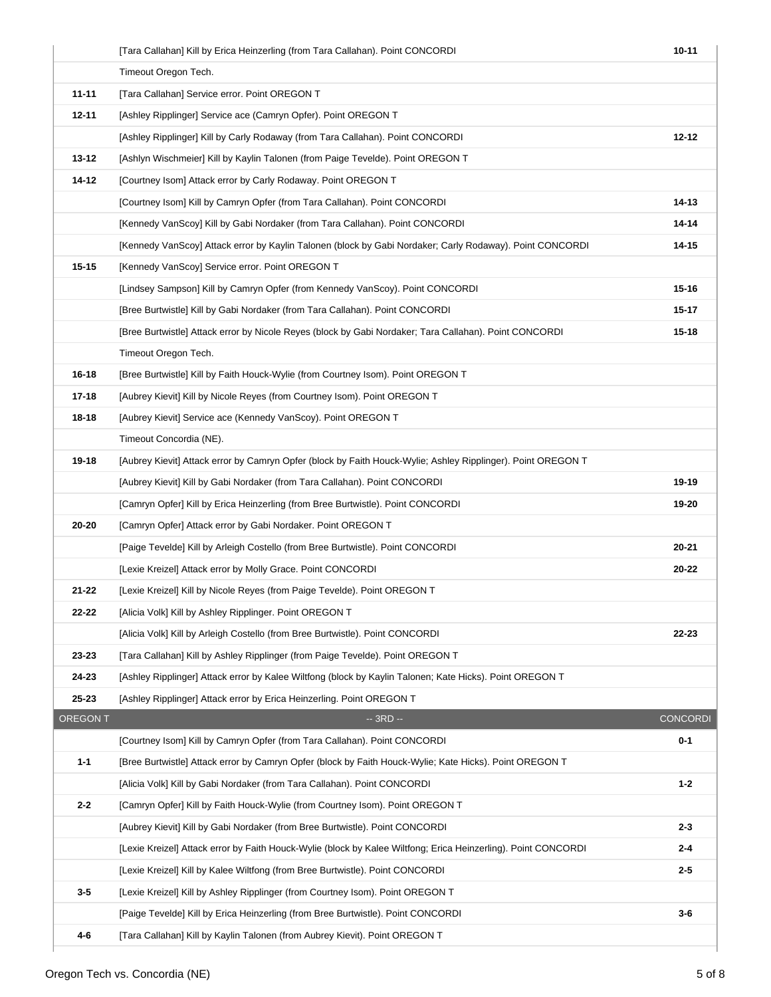|                 | [Tara Callahan] Kill by Erica Heinzerling (from Tara Callahan). Point CONCORDI                                 | $10 - 11$       |
|-----------------|----------------------------------------------------------------------------------------------------------------|-----------------|
|                 | Timeout Oregon Tech.                                                                                           |                 |
| $11 - 11$       | [Tara Callahan] Service error. Point OREGON T                                                                  |                 |
| $12 - 11$       | [Ashley Ripplinger] Service ace (Camryn Opfer). Point OREGON T                                                 |                 |
|                 | [Ashley Ripplinger] Kill by Carly Rodaway (from Tara Callahan). Point CONCORDI                                 | $12 - 12$       |
| $13 - 12$       | [Ashlyn Wischmeier] Kill by Kaylin Talonen (from Paige Tevelde). Point OREGON T                                |                 |
| $14 - 12$       | [Courtney Isom] Attack error by Carly Rodaway. Point OREGON T                                                  |                 |
|                 | [Courtney Isom] Kill by Camryn Opfer (from Tara Callahan). Point CONCORDI                                      | 14-13           |
|                 | [Kennedy VanScoy] Kill by Gabi Nordaker (from Tara Callahan). Point CONCORDI                                   | 14-14           |
|                 | [Kennedy VanScoy] Attack error by Kaylin Talonen (block by Gabi Nordaker; Carly Rodaway). Point CONCORDI       | 14-15           |
| $15 - 15$       | [Kennedy VanScoy] Service error. Point OREGON T                                                                |                 |
|                 | [Lindsey Sampson] Kill by Camryn Opfer (from Kennedy VanScoy). Point CONCORDI                                  | $15 - 16$       |
|                 | [Bree Burtwistle] Kill by Gabi Nordaker (from Tara Callahan). Point CONCORDI                                   | 15-17           |
|                 | [Bree Burtwistle] Attack error by Nicole Reyes (block by Gabi Nordaker; Tara Callahan). Point CONCORDI         | $15 - 18$       |
|                 | Timeout Oregon Tech.                                                                                           |                 |
| 16-18           | [Bree Burtwistle] Kill by Faith Houck-Wylie (from Courtney Isom). Point OREGON T                               |                 |
| $17 - 18$       | [Aubrey Kievit] Kill by Nicole Reyes (from Courtney Isom). Point OREGON T                                      |                 |
| 18-18           | [Aubrey Kievit] Service ace (Kennedy VanScoy). Point OREGON T                                                  |                 |
|                 | Timeout Concordia (NE).                                                                                        |                 |
| 19-18           | [Aubrey Kievit] Attack error by Camryn Opfer (block by Faith Houck-Wylie; Ashley Ripplinger). Point OREGON T   |                 |
|                 | [Aubrey Kievit] Kill by Gabi Nordaker (from Tara Callahan). Point CONCORDI                                     | 19-19           |
|                 | [Camryn Opfer] Kill by Erica Heinzerling (from Bree Burtwistle). Point CONCORDI                                | 19-20           |
| 20-20           | [Camryn Opfer] Attack error by Gabi Nordaker. Point OREGON T                                                   |                 |
|                 | [Paige Tevelde] Kill by Arleigh Costello (from Bree Burtwistle). Point CONCORDI                                | 20-21           |
|                 | [Lexie Kreizel] Attack error by Molly Grace. Point CONCORDI                                                    | 20-22           |
| $21 - 22$       | [Lexie Kreizel] Kill by Nicole Reyes (from Paige Tevelde). Point OREGON T                                      |                 |
| $22 - 22$       | [Alicia Volk] Kill by Ashley Ripplinger. Point OREGON T                                                        |                 |
|                 | [Alicia Volk] Kill by Arleigh Costello (from Bree Burtwistle). Point CONCORDI                                  | 22-23           |
| 23-23           | [Tara Callahan] Kill by Ashley Ripplinger (from Paige Tevelde). Point OREGON T                                 |                 |
| 24-23           | [Ashley Ripplinger] Attack error by Kalee Wiltfong (block by Kaylin Talonen; Kate Hicks). Point OREGON T       |                 |
| $25 - 23$       | [Ashley Ripplinger] Attack error by Erica Heinzerling. Point OREGON T                                          |                 |
| <b>OREGON T</b> | $-3RD -$                                                                                                       | <b>CONCORDI</b> |
|                 | [Courtney Isom] Kill by Camryn Opfer (from Tara Callahan). Point CONCORDI                                      | $0 - 1$         |
| $1 - 1$         | [Bree Burtwistle] Attack error by Camryn Opfer (block by Faith Houck-Wylie: Kate Hicks). Point OREGON T        |                 |
|                 | [Alicia Volk] Kill by Gabi Nordaker (from Tara Callahan). Point CONCORDI                                       | $1 - 2$         |
| $2 - 2$         | [Camryn Opfer] Kill by Faith Houck-Wylie (from Courtney Isom). Point OREGON T                                  |                 |
|                 | [Aubrey Kievit] Kill by Gabi Nordaker (from Bree Burtwistle). Point CONCORDI                                   | $2 - 3$         |
|                 | [Lexie Kreizel] Attack error by Faith Houck-Wylie (block by Kalee Wiltfong; Erica Heinzerling). Point CONCORDI | $2 - 4$         |
|                 | [Lexie Kreizel] Kill by Kalee Wiltfong (from Bree Burtwistle). Point CONCORDI                                  | $2 - 5$         |
| $3-5$           | [Lexie Kreizel] Kill by Ashley Ripplinger (from Courtney Isom). Point OREGON T                                 |                 |
|                 | [Paige Tevelde] Kill by Erica Heinzerling (from Bree Burtwistle). Point CONCORDI                               | $3-6$           |
| 4-6             | [Tara Callahan] Kill by Kaylin Talonen (from Aubrey Kievit). Point OREGON T                                    |                 |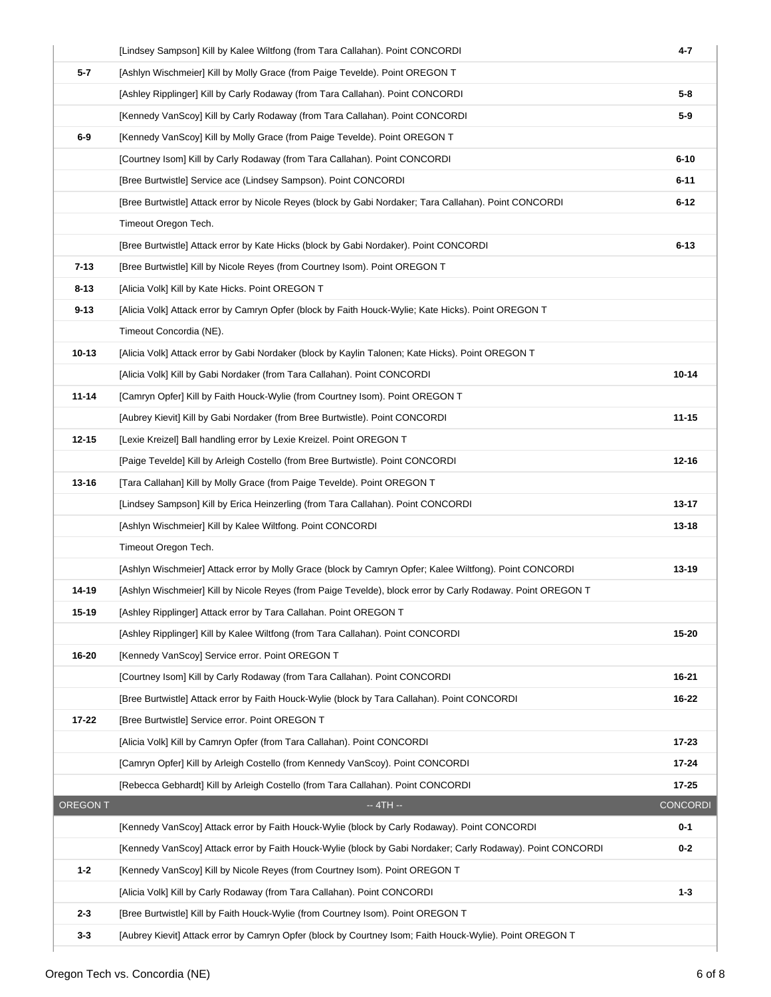|                 | [Lindsey Sampson] Kill by Kalee Wiltfong (from Tara Callahan). Point CONCORDI                               | 4-7             |
|-----------------|-------------------------------------------------------------------------------------------------------------|-----------------|
| $5 - 7$         | [Ashlyn Wischmeier] Kill by Molly Grace (from Paige Tevelde). Point OREGON T                                |                 |
|                 | [Ashley Ripplinger] Kill by Carly Rodaway (from Tara Callahan). Point CONCORDI                              | 5-8             |
|                 | [Kennedy VanScoy] Kill by Carly Rodaway (from Tara Callahan). Point CONCORDI                                | $5-9$           |
| $6-9$           | [Kennedy VanScoy] Kill by Molly Grace (from Paige Tevelde). Point OREGON T                                  |                 |
|                 | [Courtney Isom] Kill by Carly Rodaway (from Tara Callahan). Point CONCORDI                                  | $6 - 10$        |
|                 | [Bree Burtwistle] Service ace (Lindsey Sampson). Point CONCORDI                                             | $6 - 11$        |
|                 | [Bree Burtwistle] Attack error by Nicole Reyes (block by Gabi Nordaker; Tara Callahan). Point CONCORDI      | $6 - 12$        |
|                 | Timeout Oregon Tech.                                                                                        |                 |
|                 | [Bree Burtwistle] Attack error by Kate Hicks (block by Gabi Nordaker). Point CONCORDI                       | $6 - 13$        |
| $7 - 13$        | [Bree Burtwistle] Kill by Nicole Reyes (from Courtney Isom). Point OREGON T                                 |                 |
| $8 - 13$        | [Alicia Volk] Kill by Kate Hicks. Point OREGON T                                                            |                 |
| $9 - 13$        | [Alicia Volk] Attack error by Camryn Opfer (block by Faith Houck-Wylie; Kate Hicks). Point OREGON T         |                 |
|                 | Timeout Concordia (NE).                                                                                     |                 |
| $10 - 13$       | [Alicia Volk] Attack error by Gabi Nordaker (block by Kaylin Talonen; Kate Hicks). Point OREGON T           |                 |
|                 | [Alicia Volk] Kill by Gabi Nordaker (from Tara Callahan). Point CONCORDI                                    | $10 - 14$       |
| $11 - 14$       | [Camryn Opfer] Kill by Faith Houck-Wylie (from Courtney Isom). Point OREGON T                               |                 |
|                 | [Aubrey Kievit] Kill by Gabi Nordaker (from Bree Burtwistle). Point CONCORDI                                | $11 - 15$       |
| $12 - 15$       | [Lexie Kreizel] Ball handling error by Lexie Kreizel. Point OREGON T                                        |                 |
|                 | [Paige Tevelde] Kill by Arleigh Costello (from Bree Burtwistle). Point CONCORDI                             | $12 - 16$       |
| $13 - 16$       | [Tara Callahan] Kill by Molly Grace (from Paige Tevelde). Point OREGON T                                    |                 |
|                 | [Lindsey Sampson] Kill by Erica Heinzerling (from Tara Callahan). Point CONCORDI                            | 13-17           |
|                 | [Ashlyn Wischmeier] Kill by Kalee Wiltfong. Point CONCORDI                                                  | 13-18           |
|                 | Timeout Oregon Tech.                                                                                        |                 |
|                 | [Ashlyn Wischmeier] Attack error by Molly Grace (block by Camryn Opfer; Kalee Wiltfong). Point CONCORDI     | 13-19           |
| 14-19           | [Ashlyn Wischmeier] Kill by Nicole Reyes (from Paige Tevelde), block error by Carly Rodaway. Point OREGON T |                 |
| 15-19           | [Ashley Ripplinger] Attack error by Tara Callahan. Point OREGON T                                           |                 |
|                 | [Ashley Ripplinger] Kill by Kalee Wiltfong (from Tara Callahan). Point CONCORDI                             | 15-20           |
| 16-20           | [Kennedy VanScoy] Service error. Point OREGON T                                                             |                 |
|                 | [Courtney Isom] Kill by Carly Rodaway (from Tara Callahan). Point CONCORDI                                  | 16-21           |
|                 | [Bree Burtwistle] Attack error by Faith Houck-Wylie (block by Tara Callahan). Point CONCORDI                | 16-22           |
| 17-22           | [Bree Burtwistle] Service error. Point OREGON T                                                             |                 |
|                 | [Alicia Volk] Kill by Camryn Opfer (from Tara Callahan). Point CONCORDI                                     | $17 - 23$       |
|                 | [Camryn Opfer] Kill by Arleigh Costello (from Kennedy VanScoy). Point CONCORDI                              | $17 - 24$       |
|                 | [Rebecca Gebhardt] Kill by Arleigh Costello (from Tara Callahan). Point CONCORDI                            | 17-25           |
| <b>OREGON T</b> | $-4TH -$                                                                                                    | <b>CONCORDI</b> |
|                 | [Kennedy VanScoy] Attack error by Faith Houck-Wylie (block by Carly Rodaway). Point CONCORDI                | $0 - 1$         |
|                 | [Kennedy VanScoy] Attack error by Faith Houck-Wylie (block by Gabi Nordaker; Carly Rodaway). Point CONCORDI | $0 - 2$         |
| $1 - 2$         | [Kennedy VanScoy] Kill by Nicole Reyes (from Courtney Isom). Point OREGON T                                 |                 |
|                 | [Alicia Volk] Kill by Carly Rodaway (from Tara Callahan). Point CONCORDI                                    | $1 - 3$         |
| $2 - 3$         | [Bree Burtwistle] Kill by Faith Houck-Wylie (from Courtney Isom). Point OREGON T                            |                 |
| $3 - 3$         | [Aubrey Kievit] Attack error by Camryn Opfer (block by Courtney Isom; Faith Houck-Wylie). Point OREGON T    |                 |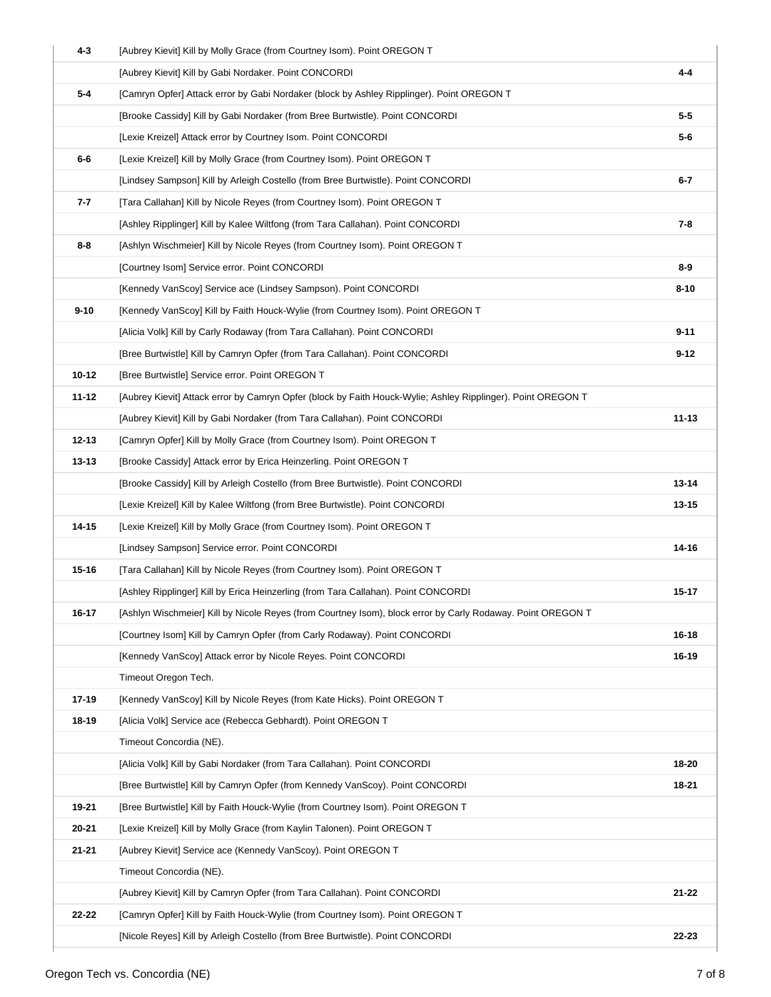| $4 - 3$   | [Aubrey Kievit] Kill by Molly Grace (from Courtney Isom). Point OREGON T                                     |           |
|-----------|--------------------------------------------------------------------------------------------------------------|-----------|
|           | [Aubrey Kievit] Kill by Gabi Nordaker. Point CONCORDI                                                        | $4 - 4$   |
| $5 - 4$   | [Camryn Opfer] Attack error by Gabi Nordaker (block by Ashley Ripplinger). Point OREGON T                    |           |
|           | [Brooke Cassidy] Kill by Gabi Nordaker (from Bree Burtwistle). Point CONCORDI                                | $5-5$     |
|           | [Lexie Kreizel] Attack error by Courtney Isom. Point CONCORDI                                                | $5-6$     |
| 6-6       | [Lexie Kreizel] Kill by Molly Grace (from Courtney Isom). Point OREGON T                                     |           |
|           | [Lindsey Sampson] Kill by Arleigh Costello (from Bree Burtwistle). Point CONCORDI                            | $6 - 7$   |
| 7-7       | [Tara Callahan] Kill by Nicole Reyes (from Courtney Isom). Point OREGON T                                    |           |
|           | [Ashley Ripplinger] Kill by Kalee Wiltfong (from Tara Callahan). Point CONCORDI                              | $7 - 8$   |
| 8-8       | [Ashlyn Wischmeier] Kill by Nicole Reyes (from Courtney Isom). Point OREGON T                                |           |
|           | [Courtney Isom] Service error. Point CONCORDI                                                                | $8-9$     |
|           | [Kennedy VanScoy] Service ace (Lindsey Sampson). Point CONCORDI                                              | $8 - 10$  |
| $9 - 10$  | [Kennedy VanScoy] Kill by Faith Houck-Wylie (from Courtney Isom). Point OREGON T                             |           |
|           | [Alicia Volk] Kill by Carly Rodaway (from Tara Callahan). Point CONCORDI                                     | $9 - 11$  |
|           | [Bree Burtwistle] Kill by Camryn Opfer (from Tara Callahan). Point CONCORDI                                  | $9 - 12$  |
| $10 - 12$ | [Bree Burtwistle] Service error. Point OREGON T                                                              |           |
| $11 - 12$ | [Aubrey Kievit] Attack error by Camryn Opfer (block by Faith Houck-Wylie; Ashley Ripplinger). Point OREGON T |           |
|           | [Aubrey Kievit] Kill by Gabi Nordaker (from Tara Callahan). Point CONCORDI                                   | $11 - 13$ |
| $12 - 13$ | [Camryn Opfer] Kill by Molly Grace (from Courtney Isom). Point OREGON T                                      |           |
| $13 - 13$ | [Brooke Cassidy] Attack error by Erica Heinzerling. Point OREGON T                                           |           |
|           | [Brooke Cassidy] Kill by Arleigh Costello (from Bree Burtwistle). Point CONCORDI                             | $13 - 14$ |
|           | [Lexie Kreizel] Kill by Kalee Wiltfong (from Bree Burtwistle). Point CONCORDI                                | 13-15     |
| 14-15     | [Lexie Kreizel] Kill by Molly Grace (from Courtney Isom). Point OREGON T                                     |           |
|           | [Lindsey Sampson] Service error. Point CONCORDI                                                              | 14-16     |
| $15 - 16$ | [Tara Callahan] Kill by Nicole Reyes (from Courtney Isom). Point OREGON T                                    |           |
|           | [Ashley Ripplinger] Kill by Erica Heinzerling (from Tara Callahan). Point CONCORDI                           | 15-17     |
| 16-17     | [Ashlyn Wischmeier] Kill by Nicole Reyes (from Courtney Isom), block error by Carly Rodaway. Point OREGON T  |           |
|           | [Courtney Isom] Kill by Camryn Opfer (from Carly Rodaway). Point CONCORDI                                    | 16-18     |
|           | [Kennedy VanScoy] Attack error by Nicole Reyes. Point CONCORDI                                               | 16-19     |
|           | Timeout Oregon Tech.                                                                                         |           |
| 17-19     | [Kennedy VanScoy] Kill by Nicole Reyes (from Kate Hicks). Point OREGON T                                     |           |
| 18-19     | [Alicia Volk] Service ace (Rebecca Gebhardt). Point OREGON T                                                 |           |
|           | Timeout Concordia (NE).                                                                                      |           |
|           | [Alicia Volk] Kill by Gabi Nordaker (from Tara Callahan). Point CONCORDI                                     | 18-20     |
|           | [Bree Burtwistle] Kill by Camryn Opfer (from Kennedy VanScoy). Point CONCORDI                                | 18-21     |
| 19-21     | [Bree Burtwistle] Kill by Faith Houck-Wylie (from Courtney Isom). Point OREGON T                             |           |
| 20-21     | [Lexie Kreizel] Kill by Molly Grace (from Kaylin Talonen). Point OREGON T                                    |           |
| $21 - 21$ | [Aubrey Kievit] Service ace (Kennedy VanScoy). Point OREGON T                                                |           |
|           | Timeout Concordia (NE).                                                                                      |           |
|           | [Aubrey Kievit] Kill by Camryn Opfer (from Tara Callahan). Point CONCORDI                                    | 21-22     |
| 22-22     | [Camryn Opfer] Kill by Faith Houck-Wylie (from Courtney Isom). Point OREGON T                                |           |
|           | [Nicole Reyes] Kill by Arleigh Costello (from Bree Burtwistle). Point CONCORDI                               | 22-23     |